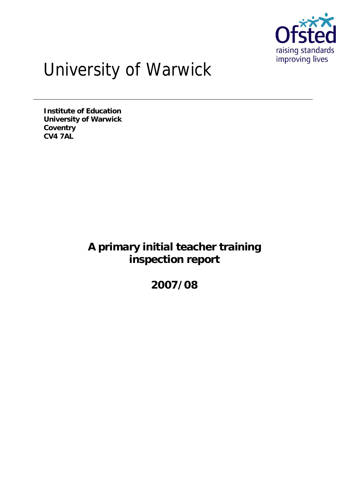

# University of Warwick

**Institute of Education University of Warwick Coventry CV4 7AL**

> **A primary initial teacher training inspection report**

> > **2007/08**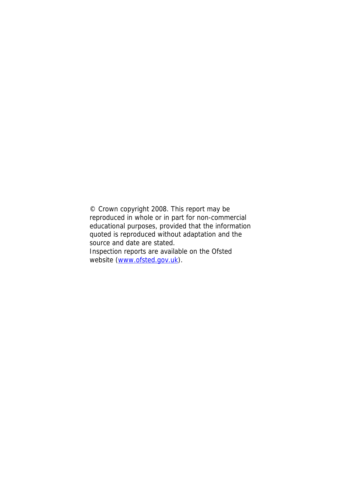© Crown copyright 2008. This report may be reproduced in whole or in part for non-commercial educational purposes, provided that the information quoted is reproduced without adaptation and the source and date are stated. Inspection reports are available on the Ofsted website (www.ofsted.gov.uk).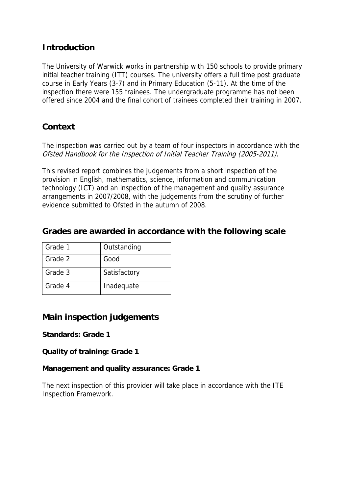## **Introduction**

The University of Warwick works in partnership with 150 schools to provide primary initial teacher training (ITT) courses. The university offers a full time post graduate course in Early Years (3-7) and in Primary Education (5-11). At the time of the inspection there were 155 trainees. The undergraduate programme has not been offered since 2004 and the final cohort of trainees completed their training in 2007.

## **Context**

The inspection was carried out by a team of four inspectors in accordance with the Ofsted Handbook for the Inspection of Initial Teacher Training (2005-2011).

This revised report combines the judgements from a short inspection of the provision in English, mathematics, science, information and communication technology (ICT) and an inspection of the management and quality assurance arrangements in 2007/2008, with the judgements from the scrutiny of further evidence submitted to Ofsted in the autumn of 2008.

**Grades are awarded in accordance with the following scale**

| Grade 1 | Outstanding  |
|---------|--------------|
| Grade 2 | Good         |
| Grade 3 | Satisfactory |
| Grade 4 | Inadequate   |

## **Main inspection judgements**

**Standards: Grade 1**

**Quality of training: Grade 1**

**Management and quality assurance: Grade 1**

The next inspection of this provider will take place in accordance with the ITE Inspection Framework.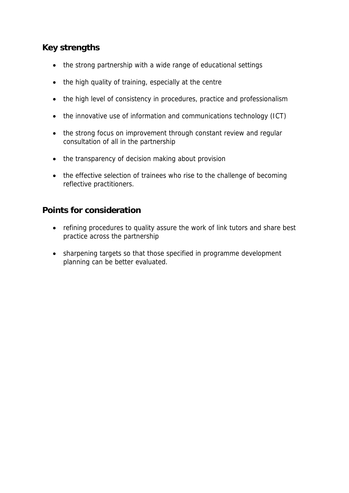# **Key strengths**

- the strong partnership with a wide range of educational settings
- the high quality of training, especially at the centre
- the high level of consistency in procedures, practice and professionalism
- the innovative use of information and communications technology (ICT)
- the strong focus on improvement through constant review and regular consultation of all in the partnership
- the transparency of decision making about provision
- the effective selection of trainees who rise to the challenge of becoming reflective practitioners.

#### **Points for consideration**

- refining procedures to quality assure the work of link tutors and share best practice across the partnership
- sharpening targets so that those specified in programme development planning can be better evaluated.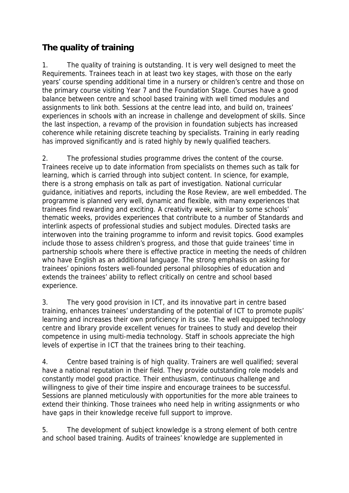# **The quality of training**

1. The quality of training is outstanding. It is very well designed to meet the Requirements. Trainees teach in at least two key stages, with those on the early years' course spending additional time in a nursery or children's centre and those on the primary course visiting Year 7 and the Foundation Stage. Courses have a good balance between centre and school based training with well timed modules and assignments to link both. Sessions at the centre lead into, and build on, trainees' experiences in schools with an increase in challenge and development of skills. Since the last inspection, a revamp of the provision in foundation subjects has increased coherence while retaining discrete teaching by specialists. Training in early reading has improved significantly and is rated highly by newly qualified teachers.

2. The professional studies programme drives the content of the course. Trainees receive up to date information from specialists on themes such as talk for learning, which is carried through into subject content. In science, for example, there is a strong emphasis on talk as part of investigation. National curricular guidance, initiatives and reports, including the Rose Review, are well embedded. The programme is planned very well, dynamic and flexible, with many experiences that trainees find rewarding and exciting. A creativity week, similar to some schools' thematic weeks, provides experiences that contribute to a number of Standards and interlink aspects of professional studies and subject modules. Directed tasks are interwoven into the training programme to inform and revisit topics. Good examples include those to assess children's progress, and those that guide trainees' time in partnership schools where there is effective practice in meeting the needs of children who have English as an additional language. The strong emphasis on asking for trainees' opinions fosters well-founded personal philosophies of education and extends the trainees' ability to reflect critically on centre and school based experience.

3. The very good provision in ICT, and its innovative part in centre based training, enhances trainees' understanding of the potential of ICT to promote pupils' learning and increases their own proficiency in its use. The well equipped technology centre and library provide excellent venues for trainees to study and develop their competence in using multi-media technology. Staff in schools appreciate the high levels of expertise in ICT that the trainees bring to their teaching.

4. Centre based training is of high quality. Trainers are well qualified; several have a national reputation in their field. They provide outstanding role models and constantly model good practice. Their enthusiasm, continuous challenge and willingness to give of their time inspire and encourage trainees to be successful. Sessions are planned meticulously with opportunities for the more able trainees to extend their thinking. Those trainees who need help in writing assignments or who have gaps in their knowledge receive full support to improve.

5. The development of subject knowledge is a strong element of both centre and school based training. Audits of trainees' knowledge are supplemented in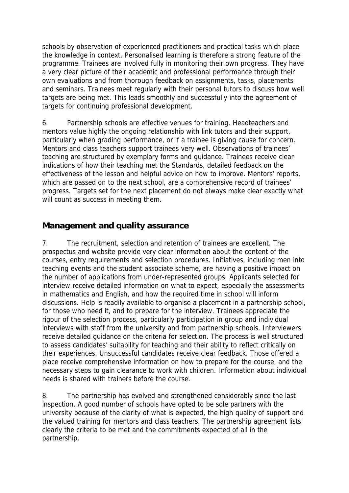schools by observation of experienced practitioners and practical tasks which place the knowledge in context. Personalised learning is therefore a strong feature of the programme. Trainees are involved fully in monitoring their own progress. They have a very clear picture of their academic and professional performance through their own evaluations and from thorough feedback on assignments, tasks, placements and seminars. Trainees meet regularly with their personal tutors to discuss how well targets are being met. This leads smoothly and successfully into the agreement of targets for continuing professional development.

6. Partnership schools are effective venues for training. Headteachers and mentors value highly the ongoing relationship with link tutors and their support, particularly when grading performance, or if a trainee is giving cause for concern. Mentors and class teachers support trainees very well. Observations of trainees' teaching are structured by exemplary forms and guidance. Trainees receive clear indications of how their teaching met the Standards, detailed feedback on the effectiveness of the lesson and helpful advice on how to improve. Mentors' reports, which are passed on to the next school, are a comprehensive record of trainees' progress. Targets set for the next placement do not always make clear exactly what will count as success in meeting them.

#### **Management and quality assurance**

7. The recruitment, selection and retention of trainees are excellent. The prospectus and website provide very clear information about the content of the courses, entry requirements and selection procedures. Initiatives, including men into teaching events and the student associate scheme, are having a positive impact on the number of applications from under-represented groups. Applicants selected for interview receive detailed information on what to expect, especially the assessments in mathematics and English, and how the required time in school will inform discussions. Help is readily available to organise a placement in a partnership school, for those who need it, and to prepare for the interview. Trainees appreciate the rigour of the selection process, particularly participation in group and individual interviews with staff from the university and from partnership schools. Interviewers receive detailed guidance on the criteria for selection. The process is well structured to assess candidates' suitability for teaching and their ability to reflect critically on their experiences. Unsuccessful candidates receive clear feedback. Those offered a place receive comprehensive information on how to prepare for the course, and the necessary steps to gain clearance to work with children. Information about individual needs is shared with trainers before the course.

8. The partnership has evolved and strengthened considerably since the last inspection. A good number of schools have opted to be sole partners with the university because of the clarity of what is expected, the high quality of support and the valued training for mentors and class teachers. The partnership agreement lists clearly the criteria to be met and the commitments expected of all in the partnership.